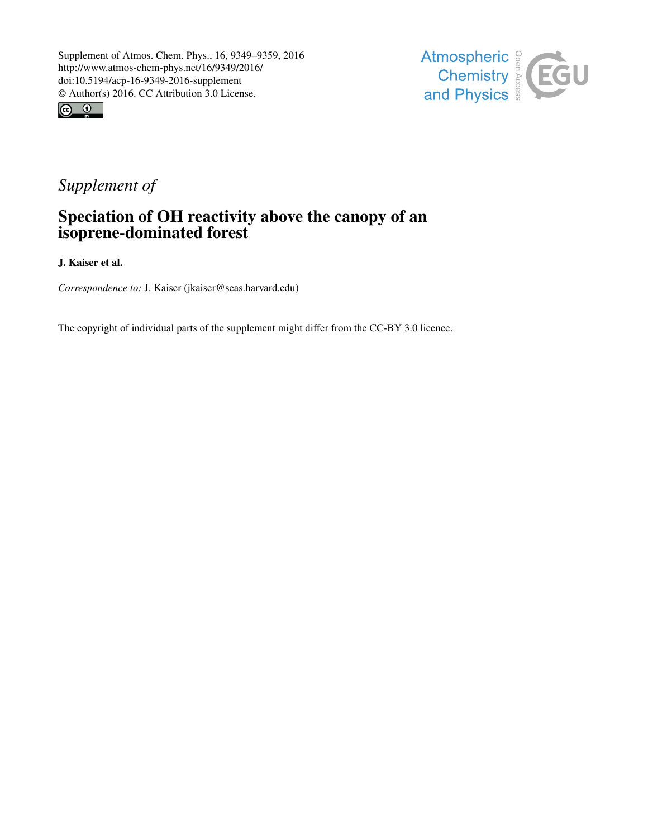



# *Supplement of*

## Speciation of OH reactivity above the canopy of an isoprene-dominated forest

J. Kaiser et al.

*Correspondence to:* J. Kaiser (jkaiser@seas.harvard.edu)

The copyright of individual parts of the supplement might differ from the CC-BY 3.0 licence.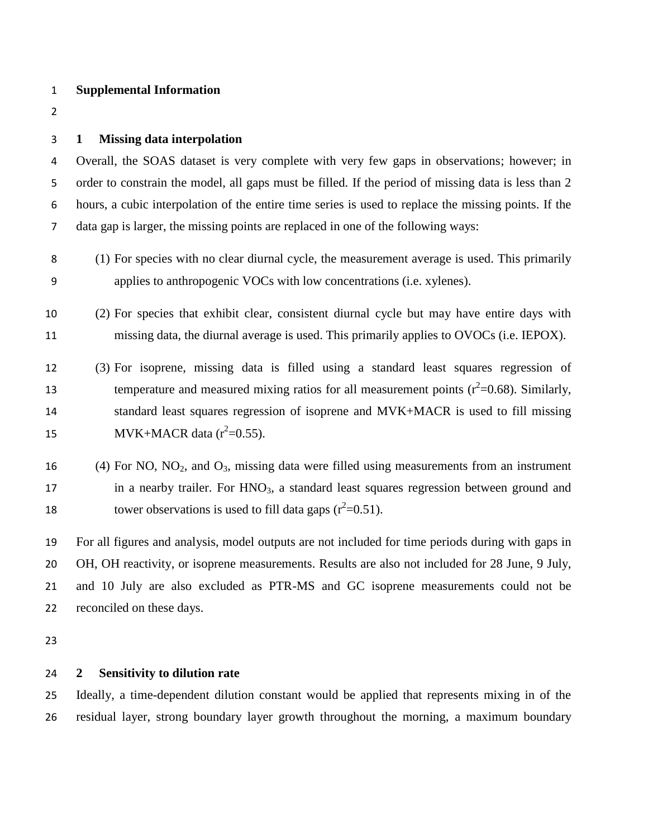#### **Supplemental Information**

#### **1 Missing data interpolation**

 Overall, the SOAS dataset is very complete with very few gaps in observations; however; in order to constrain the model, all gaps must be filled. If the period of missing data is less than 2 hours, a cubic interpolation of the entire time series is used to replace the missing points. If the data gap is larger, the missing points are replaced in one of the following ways:

- (1) For species with no clear diurnal cycle, the measurement average is used. This primarily applies to anthropogenic VOCs with low concentrations (i.e. xylenes).
- (2) For species that exhibit clear, consistent diurnal cycle but may have entire days with missing data, the diurnal average is used. This primarily applies to OVOCs (i.e. IEPOX).
- (3) For isoprene, missing data is filled using a standard least squares regression of temperature and measured mixing ratios for all measurement points  $(r^2=0.68)$ . Similarly, standard least squares regression of isoprene and MVK+MACR is used to fill missing 15 MVK+MACR data  $(r^2=0.55)$ .
- 16 (4) For NO,  $NO<sub>2</sub>$ , and  $O<sub>3</sub>$ , missing data were filled using measurements from an instrument 17 in a nearby trailer. For HNO<sub>3</sub>, a standard least squares regression between ground and 18 tower observations is used to fill data gaps  $(r^2=0.51)$ .

 For all figures and analysis, model outputs are not included for time periods during with gaps in OH, OH reactivity, or isoprene measurements. Results are also not included for 28 June, 9 July, and 10 July are also excluded as PTR-MS and GC isoprene measurements could not be reconciled on these days.

#### **2 Sensitivity to dilution rate**

 Ideally, a time-dependent dilution constant would be applied that represents mixing in of the residual layer, strong boundary layer growth throughout the morning, a maximum boundary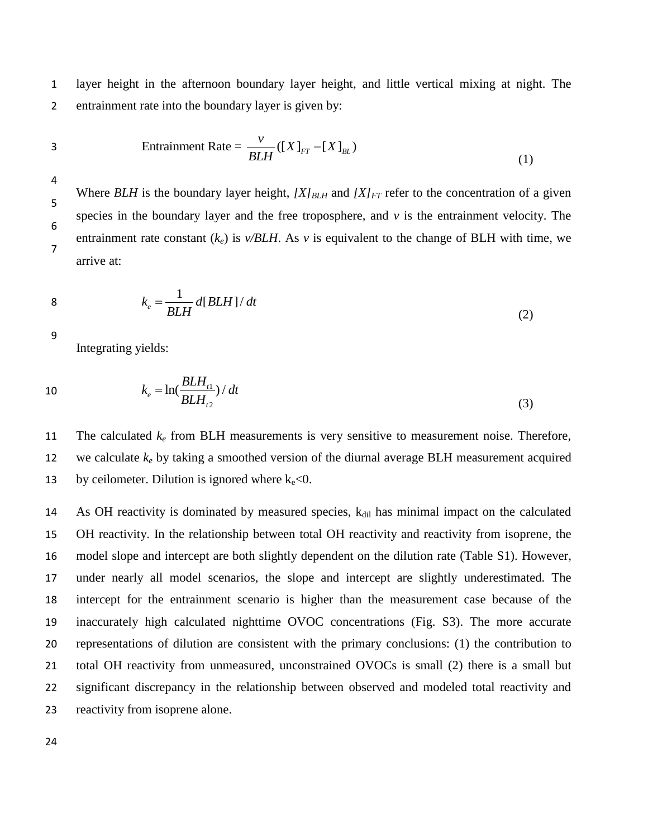1 layer height in the afternoon boundary layer height, and little vertical mixing at night. The 2 entrainment rate into the boundary layer is given by:

3

$$
Entrainment Rate = \frac{v}{BLH} ([X]_{FT} - [X]_{BL})
$$
\n(1)

4

5

6

Where *BLH* is the boundary layer height,  $[X]_{BLH}$  and  $[X]_{FT}$  refer to the concentration of a given species in the boundary layer and the free troposphere, and  $\nu$  is the entrainment velocity. The entrainment rate constant  $(k_e)$  is  $v/BLH$ . As  $v$  is equivalent to the change of BLH with time, we arrive at: 7

$$
k_e = \frac{1}{BLH} d[BLH]/dt
$$
 (2)

9

Integrating yields:

10 
$$
k_e = \ln(\frac{BLH_{i1}}{BLH_{i2}})/dt
$$
 (3)

11 The calculated  $k_e$  from BLH measurements is very sensitive to measurement noise. Therefore, 12 we calculate *k<sup>e</sup>* by taking a smoothed version of the diurnal average BLH measurement acquired 13 by ceilometer. Dilution is ignored where  $k_e < 0$ .

14 As OH reactivity is dominated by measured species,  $k_{\text{dil}}$  has minimal impact on the calculated OH reactivity. In the relationship between total OH reactivity and reactivity from isoprene, the model slope and intercept are both slightly dependent on the dilution rate (Table S1). However, under nearly all model scenarios, the slope and intercept are slightly underestimated. The intercept for the entrainment scenario is higher than the measurement case because of the inaccurately high calculated nighttime OVOC concentrations (Fig. S3). The more accurate representations of dilution are consistent with the primary conclusions: (1) the contribution to total OH reactivity from unmeasured, unconstrained OVOCs is small (2) there is a small but significant discrepancy in the relationship between observed and modeled total reactivity and reactivity from isoprene alone.

24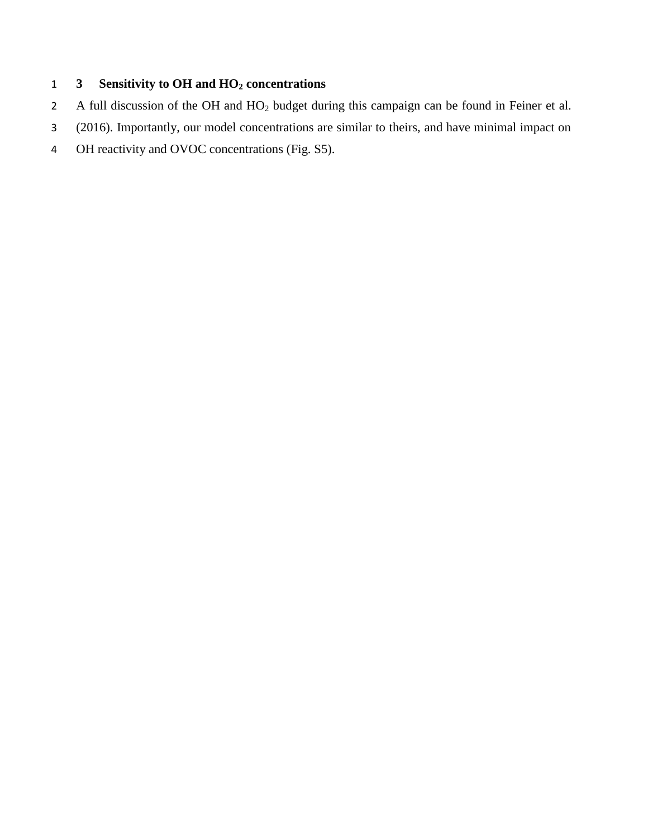### **3 Sensitivity to OH and HO<sup>2</sup> concentrations**

- A full discussion of the OH and HO<sup>2</sup> budget during this campaign can be found in Feiner et al.
- (2016). Importantly, our model concentrations are similar to theirs, and have minimal impact on
- OH reactivity and OVOC concentrations (Fig. S5).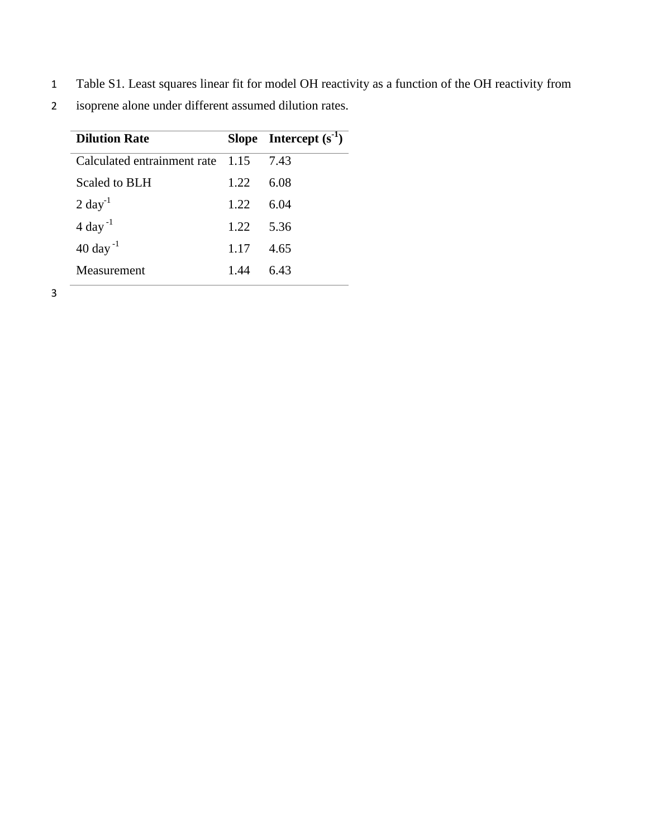1 Table S1. Least squares linear fit for model OH reactivity as a function of the OH reactivity from

2 isoprene alone under different assumed dilution rates.

| <b>Dilution Rate</b>             |       | Slope Intercept $(s^{-1})$ |
|----------------------------------|-------|----------------------------|
| Calculated entrainment rate 1.15 |       | 7.43                       |
| <b>Scaled to BLH</b>             | 1.22  | 6.08                       |
| $2 \text{ day}^{-1}$             | 1.22. | 6.04                       |
| $4$ day <sup>-1</sup>            | 1.22  | 5.36                       |
| $40 \text{ day}^{-1}$            | 1.17  | 4.65                       |
| Measurement                      | 1.44  | 6.43                       |

3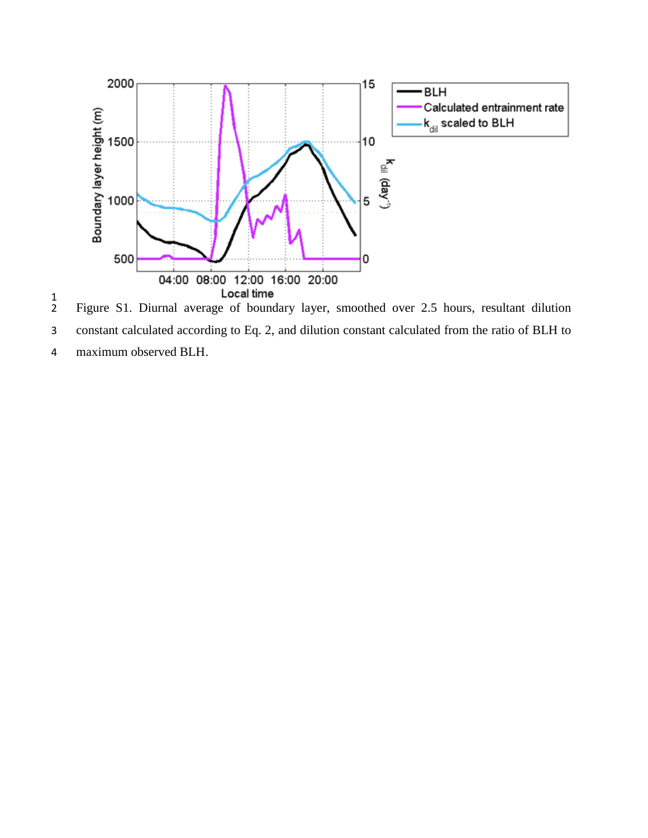

 $\frac{1}{2}$  Figure S1. Diurnal average of boundary layer, smoothed over 2.5 hours, resultant dilution constant calculated according to Eq. 2, and dilution constant calculated from the ratio of BLH to maximum observed BLH.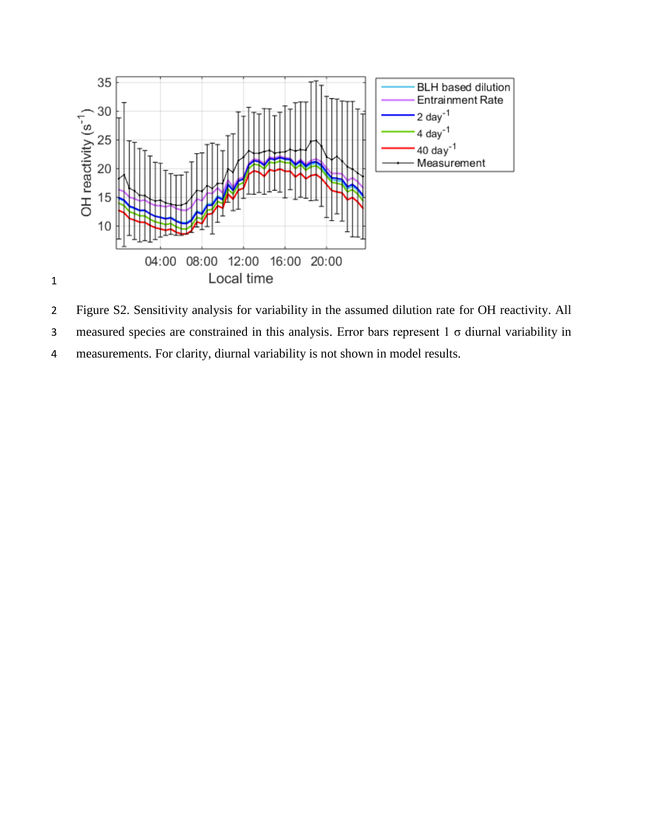

 Figure S2. Sensitivity analysis for variability in the assumed dilution rate for OH reactivity. All measured species are constrained in this analysis. Error bars represent 1 σ diurnal variability in measurements. For clarity, diurnal variability is not shown in model results.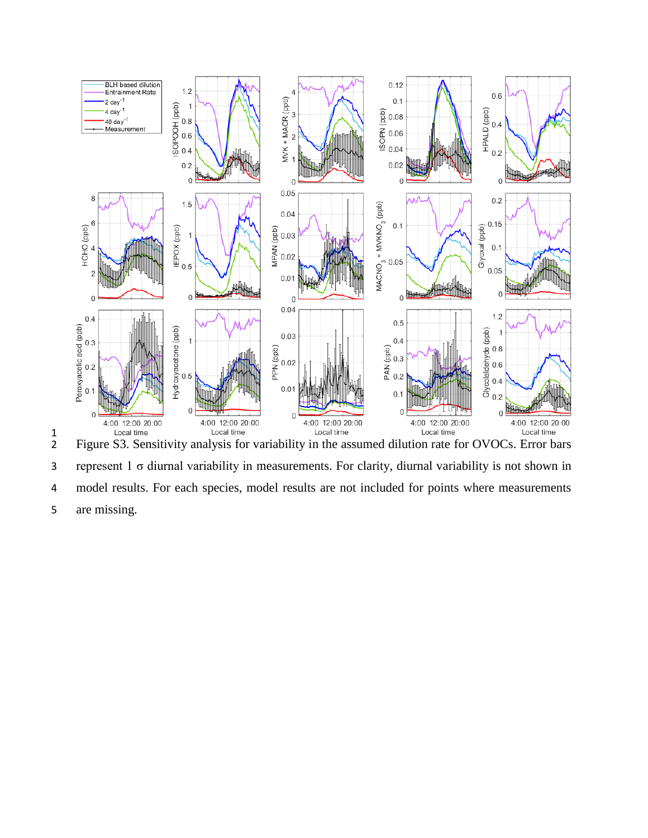

 $\frac{1}{2}$  Figure S3. Sensitivity analysis for variability in the assumed dilution rate for OVOCs. Error bars represent 1 σ diurnal variability in measurements. For clarity, diurnal variability is not shown in model results. For each species, model results are not included for points where measurements are missing.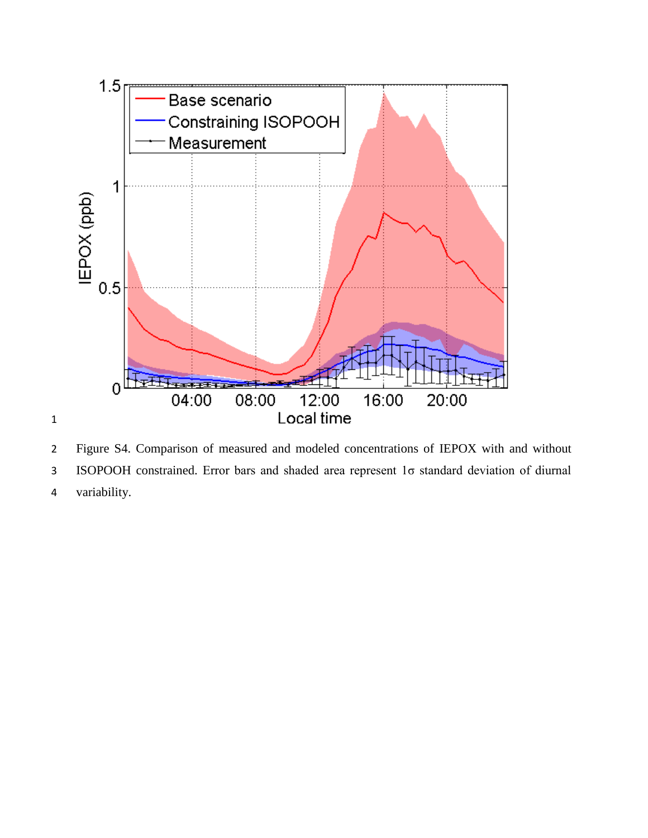

 Figure S4. Comparison of measured and modeled concentrations of IEPOX with and without ISOPOOH constrained. Error bars and shaded area represent 1σ standard deviation of diurnal variability.